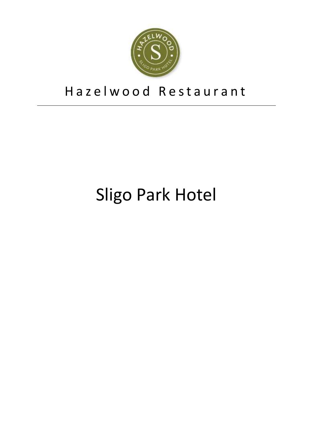

# Hazelwood Restaurant

# Sligo Park Hotel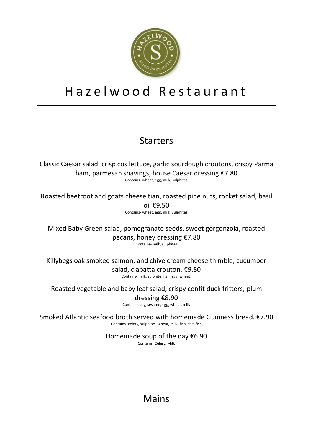

### Hazelwood Restaurant

### Starters

Classic Caesar salad, crisp cos lettuce, garlic sourdough croutons, crispy Parma ham, parmesan shavings, house Caesar dressing €7.80 Contains- wheat, egg, milk, sulphites

Roasted beetroot and goats cheese tian, roasted pine nuts, rocket salad, basil  $\text{oil } f9.50$ Contains- wheat, egg, milk, sulphites

Mixed Baby Green salad, pomegranate seeds, sweet gorgonzola, roasted pecans, honey dressing €7.80 Contains- milk, sulphites

Killybegs oak smoked salmon, and chive cream cheese thimble, cucumber salad, ciabatta crouton. €9.80 Contains- milk, sulphite, fish, egg, wheat.

Roasted vegetable and baby leaf salad, crispy confit duck fritters, plum

dressing €8.90

Contains- soy, sesame, egg, wheat, milk

Smoked Atlantic seafood broth served with homemade Guinness bread. €7.90 Contains- celery, sulphites, wheat, milk, fish, shellfish

> Homemade soup of the day  $€6.90$ Contains: Celery, Milk

#### Mains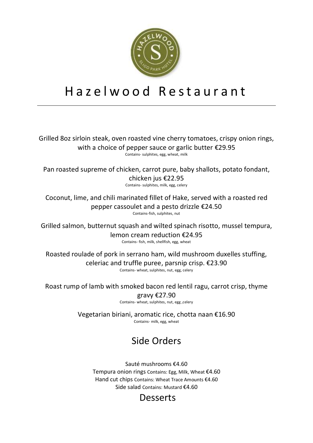

# H a z e l w o o d R e s t a u r a n t

Grilled 8oz sirloin steak, oven roasted vine cherry tomatoes, crispy onion rings, with a choice of pepper sauce or garlic butter €29.95 Contains- sulphites, egg, wheat, milk

Pan roasted supreme of chicken, carrot pure, baby shallots, potato fondant, chicken jus €22.95

Contains- sulphites, milk, egg, celery

Coconut, lime, and chili marinated fillet of Hake, served with a roasted red pepper cassoulet and a pesto drizzle €24.50 Contains-fish, sulphites, nut

Grilled salmon, butternut squash and wilted spinach risotto, mussel tempura, lemon cream reduction €24.95 Contains- fish, milk, shellfish, egg, wheat

Roasted roulade of pork in serrano ham, wild mushroom duxelles stuffing, celeriac and truffle puree, parsnip crisp. €23.90 Contains- wheat, sulphites, nut, egg, celery

Roast rump of lamb with smoked bacon red lentil ragu, carrot crisp, thyme gravy €27.90

Contains- wheat, sulphites, nut, egg ,celery

Vegetarian biriani, aromatic rice, chotta naan €16.90 Contains- milk, egg, wheat

#### Side Orders

Sauté mushrooms €4.60 Tempura onion rings Contains: Egg, Milk, Wheat €4.60 Hand cut chips Contains: Wheat Trace Amounts €4.60 Side salad Contains: Mustard €4.60

#### Desserts